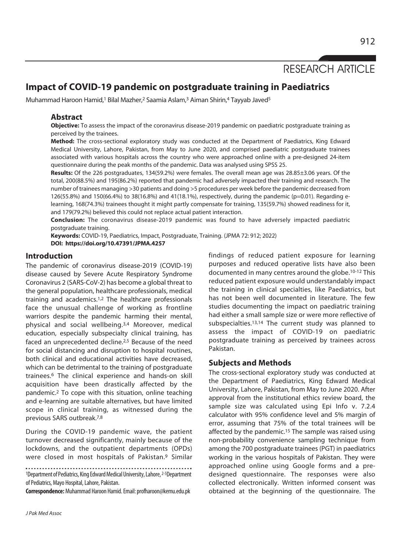# RESEARCH ARTICLE

# **Impact of COVID-19 pandemic on postgraduate training in Paediatrics**

Muhammad Haroon Hamid,<sup>1</sup> Bilal Mazher,<sup>2</sup> Saamia Aslam,<sup>3</sup> Aiman Shirin,<sup>4</sup> Tayyab Javed<sup>5</sup>

### **Abstract**

**Objective:** To assess the impact of the coronavirus disease-2019 pandemic on paediatric postgraduate training as perceived by the trainees.

**Method:** The cross-sectional exploratory study was conducted at the Department of Paediatrics, King Edward Medical University, Lahore, Pakistan, from May to June 2020, and comprised paediatric postgraduate trainees associated with various hospitals across the country who were approached online with a pre-designed 24-item questionnaire during the peak months of the pandemic. Data was analysed using SPSS 25.

**Results:** Of the 226 postgraduates, 134(59.2%) were females. The overall mean age was 28.85±3.06 years. Of the total, 200(88.5%) and 195(86.2%) reported that pandemic had adversely impacted their training and research. The number of trainees managing >30 patients and doing >5 procedures per week before the pandemic decreased from 126(55.8%) and 150(66.4%) to 38(16.8%) and 41(18.1%), respectively, during the pandemic (p=0.01). Regarding elearning, 168(74.3%) trainees thought it might partly compensate for training, 135(59.7%) showed readiness for it, and 179(79.2%) believed this could not replace actual patient interaction.

**Conclusion:** The coronavirus disease-2019 pandemic was found to have adversely impacted paediatric postgraduate training.

**Keywords:** COVID-19, Paediatrics, Impact, Postgraduate, Training. (JPMA 72: 912; 2022) **DOI: https://doi.org/10.47391/JPMA.4257** 

### **Introduction**

The pandemic of coronavirus disease-2019 (COVID-19) disease caused by Severe Acute Respiratory Syndrome Coronavirus 2 (SARS-CoV-2) has become a global threat to the general population, healthcare professionals, medical training and academics.1,2 The healthcare professionals face the unusual challenge of working as frontline warriors despite the pandemic harming their mental, physical and social wellbeing.3,4 Moreover, medical education, especially subspecialty clinical training, has faced an unprecedented decline.2,5 Because of the need for social distancing and disruption to hospital routines, both clinical and educational activities have decreased, which can be detrimental to the training of postgraduate trainees.6 The clinical experience and hands-on skill acquisition have been drastically affected by the pandemic.2 To cope with this situation, online teaching and e-learning are suitable alternatives, but have limited scope in clinical training, as witnessed during the previous SARS outbreak.7,8

During the COVID-19 pandemic wave, the patient turnover decreased significantly, mainly because of the lockdowns, and the outpatient departments (OPDs) were closed in most hospitals of Pakistan.9 Similar

1Department of Pediatrics, King Edward Medical University, Lahore, 2-5Department of Pediatrics, Mayo Hospital, Lahore, Pakistan.

**Correspondence:** Muhammad Haroon Hamid. Email: profharoon@kemu.edu.pk

findings of reduced patient exposure for learning purposes and reduced operative lists have also been documented in many centres around the globe.10-12 This reduced patient exposure would understandably impact the training in clinical specialties, like Paediatrics, but has not been well documented in literature. The few studies documenting the impact on paediatric training had either a small sample size or were more reflective of subspecialties.13,14 The current study was planned to assess the impact of COVID-19 on paediatric postgraduate training as perceived by trainees across Pakistan.

## **Subjects and Methods**

The cross-sectional exploratory study was conducted at the Department of Paediatrics, King Edward Medical University, Lahore, Pakistan, from May to June 2020. After approval from the institutional ethics review board, the sample size was calculated using Epi Info v. 7.2.4 calculator with 95% confidence level and 5% margin of error, assuming that 75% of the total trainees will be affected by the pandemic.<sup>15</sup> The sample was raised using non-probability convenience sampling technique from among the 700 postgraduate trainees (PGT) in paediatrics working in the various hospitals of Pakistan. They were approached online using Google forms and a predesigned questionnaire. The responses were also collected electronically. Written informed consent was obtained at the beginning of the questionnaire. The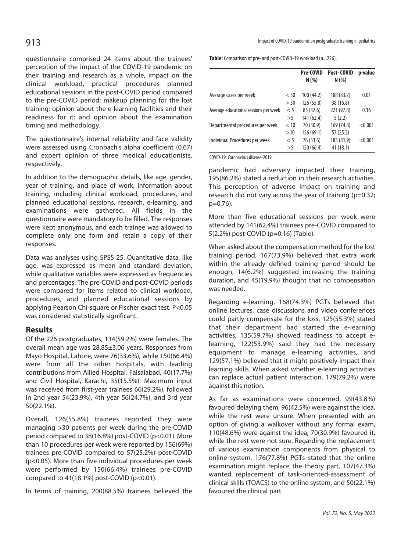questionnaire comprised 24 items about the trainees' perception of the impact of the COVID-19 pandemic on their training and research as a whole, impact on the clinical workload, practical procedures planned educational sessions in the post-COVID period compared to the pre-COVID period; makeup planning for the lost training; opinion about the e-learning facilities and their readiness for it; and opinion about the examination timing and methodology.

The questionnaire's internal reliability and face validity were assessed using Cronbach's alpha coefficient (0.67) and expert opinion of three medical educationists, respectively.

In addition to the demographic details, like age, gender, year of training, and place of work, information about training, including clinical workload, procedures, and planned educational sessions, research, e-learning, and examinations were gathered. All fields in the questionnaire were mandatory to be filled. The responses were kept anonymous, and each trainee was allowed to complete only one form and retain a copy of their responses.

Data was analyses using SPSS 25. Quantitative data, like age, was expressed as mean and standard deviation, while qualitative variables were expressed as frequencies and percentages. The pre-COVID and post-COVID periods were compared for items related to clinical workload, procedures, and planned educational sessions by applying Pearson Chi-square or Fischer exact test. P<0.05 was considered statistically significant.

## **Results**

Of the 226 postgraduates, 134(59.2%) were females. The overall mean age was 28.85±3.06 years. Responses from Mayo Hospital, Lahore, were 76(33.6%), while 150(66.4%) were from all the other hospitals, with leading contributions from Allied Hospital, Faisalabad, 40(17.7%) and Civil Hospital, Karachi, 35(15.5%). Maximum input was received from first-year trainees 66(29.2%), followed in 2nd year 54(23.9%), 4th year 56(24.7%), and 3rd year 50(22.1%).

Overall, 126(55.8%) trainees reported they were managing >30 patients per week during the pre-COVID period compared to 38(16.8%) post-COVID (p<0.01). More than 10 procedures per week were reported by 156(69%) trainees pre-COVID compared to 57(25.2%) post-COVID (p<0.05). More than five individual procedures per week were performed by 150(66.4%) trainees pre-COVID compared to  $41(18.1%)$  post-COVID (p<0.01).

In terms of training, 200(88.5%) trainees believed the

Impact of COVID-19 pandemic on postgraduate training in pediatrics **913** 

Table: Comparison of pre- and post-COVID-19 workload (n=226).

|                                       |         | Pre-COVID  | <b>Post-COVID</b> | p-value |
|---------------------------------------|---------|------------|-------------------|---------|
|                                       |         | N(% )      | N(% )             |         |
|                                       |         |            |                   |         |
| Average cases per week                | $<$ 30  | 100 (44.2) | 188 (83.2)        | 0.01    |
|                                       | > 30    | 126 (55.8) | 38 (16.8)         |         |
| Average educational sessions per week | $\lt$ 5 | 85 (37.6)  | 221 (97.8)        | 0.16    |
|                                       | >5      | 141 (62.4) | 5(2.2)            |         |
| Departmental procedures per week      | < 10    | 70 (30.9)  | 169 (74.8)        | < 0.001 |
|                                       | >10     | 156 (69.1) | 57(25.2)          |         |
| Individual Procedures per week        | $\lt$ 5 | 76 (33.6)  | 185 (81.9)        | < 0.001 |
|                                       | >5      | 150 (66.4) | 41 (18.1)         |         |

COVID-19: Coronavirus disease-2019.

pandemic had adversely impacted their training, 195(86.2%) stated a reduction in their research activities. This perception of adverse impact on training and research did not vary across the year of training (p=0.32; p=0.76).

More than five educational sessions per week were attended by 141(62.4%) trainees pre-COVID compared to 5(2.2%) post-COVID (p=0.16) (Table).

When asked about the compensation method for the lost training period, 167(73.9%) believed that extra work within the already defined training period should be enough, 14(6.2%) suggested increasing the training duration, and 45(19.9%) thought that no compensation was needed.

Regarding e-learning, 168(74.3%) PGTs believed that online lectures, case discussions and video conferences could partly compensate for the loss, 125(55.3%) stated that their department had started the e-learning activities, 135(59.7%) showed readiness to accept elearning, 122(53.9%) said they had the necessary equipment to manage e-learning activities, and 129(57.1%) believed that it might positively impact their learning skills. When asked whether e-learning activities can replace actual patient interaction, 179(79.2%) were against this notion.

As far as examinations were concerned, 99(43.8%) favoured delaying them, 96(42.5%) were against the idea, while the rest were unsure. When presented with an option of giving a walkover without any formal exam, 110(48.6%) were against the idea, 70(30.9%) favoured it, while the rest were not sure. Regarding the replacement of various examination components from physical to online system, 176(77.8%) PGTs stated that the online examination might replace the theory part, 107(47.3%) wanted replacement of task-oriented-assessment of clinical skills (TOACS) to the online system, and 50(22.1%) favoured the clinical part.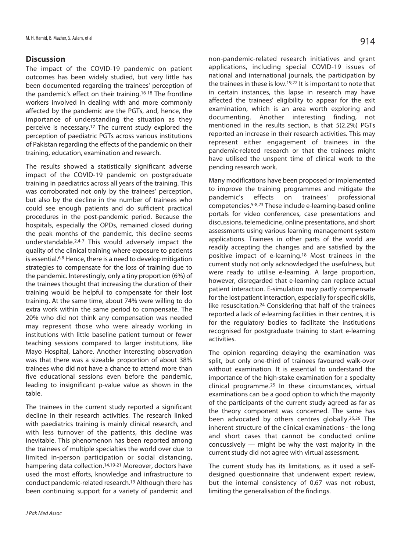# **Discussion**

The impact of the COVID-19 pandemic on patient outcomes has been widely studied, but very little has been documented regarding the trainees' perception of the pandemic's effect on their training.16-18 The frontline workers involved in dealing with and more commonly affected by the pandemic are the PGTs, and, hence, the importance of understanding the situation as they perceive is necessary.17 The current study explored the perception of paediatric PGTs across various institutions of Pakistan regarding the effects of the pandemic on their training, education, examination and research.

The results showed a statistically significant adverse impact of the COVID-19 pandemic on postgraduate training in paediatrics across all years of the training. This was corroborated not only by the trainees' perception, but also by the decline in the number of trainees who could see enough patients and do sufficient practical procedures in the post-pandemic period. Because the hospitals, especially the OPDs, remained closed during the peak months of the pandemic, this decline seems understandable.2,4-7 This would adversely impact the quality of the clinical training where exposure to patients is essential.6,8 Hence, there is a need to develop mitigation strategies to compensate for the loss of training due to the pandemic. Interestingly, only a tiny proportion (6%) of the trainees thought that increasing the duration of their training would be helpful to compensate for their lost training. At the same time, about 74% were willing to do extra work within the same period to compensate. The 20% who did not think any compensation was needed may represent those who were already working in institutions with little baseline patient turnout or fewer teaching sessions compared to larger institutions, like Mayo Hospital, Lahore. Another interesting observation was that there was a sizeable proportion of about 38% trainees who did not have a chance to attend more than five educational sessions even before the pandemic, leading to insignificant p-value value as shown in the table.

The trainees in the current study reported a significant decline in their research activities. The research linked with paediatrics training is mainly clinical research, and with less turnover of the patients, this decline was inevitable. This phenomenon has been reported among the trainees of multiple specialties the world over due to limited in-person participation or social distancing, hampering data collection.14,19-21 Moreover, doctors have used the most efforts, knowledge and infrastructure to conduct pandemic-related research.19 Although there has been continuing support for a variety of pandemic and

non-pandemic-related research initiatives and grant applications, including special COVID-19 issues of national and international journals, the participation by the trainees in these is low.19,22 It is important to note that in certain instances, this lapse in research may have affected the trainees' eligibility to appear for the exit examination, which is an area worth exploring and documenting. Another interesting finding, not mentioned in the results section, is that 5(2.2%) PGTs reported an increase in their research activities. This may represent either engagement of trainees in the pandemic-related research or that the trainees might have utilised the unspent time of clinical work to the pending research work.

Many modifications have been proposed or implemented to improve the training programmes and mitigate the pandemic's effects on trainees' professional competencies.5-8,23 These include e-learning-based online portals for video conferences, case presentations and discussions, telemedicine, online presentations, and short assessments using various learning management system applications. Trainees in other parts of the world are readily accepting the changes and are satisfied by the positive impact of e-learning.18 Most trainees in the current study not only acknowledged the usefulness, but were ready to utilise e-learning. A large proportion, however, disregarded that e-learning can replace actual patient interaction. E-simulation may partly compensate for the lost patient interaction, especially for specific skills, like resuscitation.24 Considering that half of the trainees reported a lack of e-learning facilities in their centres, it is for the regulatory bodies to facilitate the institutions recognised for postgraduate training to start e-learning activities.

The opinion regarding delaying the examination was split, but only one-third of trainees favoured walk-over without examination. It is essential to understand the importance of the high-stake examination for a specialty clinical programme.25 In these circumstances, virtual examinations can be a good option to which the majority of the participants of the current study agreed as far as the theory component was concerned. The same has been advocated by others centres globally.25,26 The inherent structure of the clinical examinations - the long and short cases that cannot be conducted online concussively — might be why the vast majority in the current study did not agree with virtual assessment.

The current study has its limitations, as it used a selfdesigned questionnaire that underwent expert review, but the internal consistency of 0.67 was not robust, limiting the generalisation of the findings.